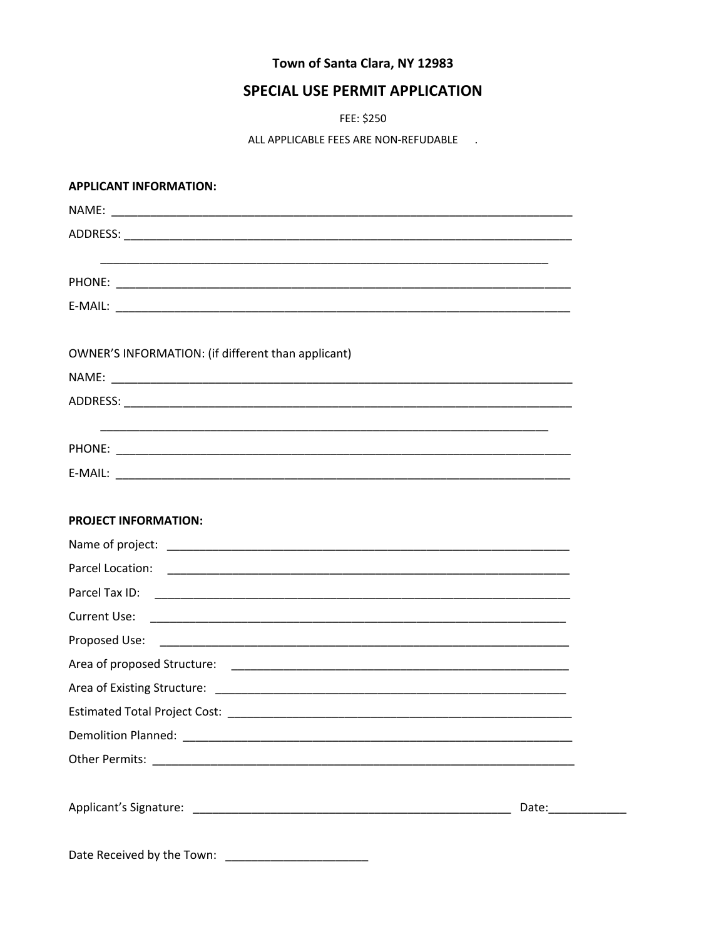# Town of Santa Clara, NY 12983

# **SPECIAL USE PERMIT APPLICATION**

FEE: \$250

ALL APPLICABLE FEES ARE NON-REFUDABLE .

| <b>APPLICANT INFORMATION:</b>                      |  |
|----------------------------------------------------|--|
|                                                    |  |
|                                                    |  |
|                                                    |  |
|                                                    |  |
|                                                    |  |
|                                                    |  |
| OWNER'S INFORMATION: (if different than applicant) |  |
|                                                    |  |
|                                                    |  |
|                                                    |  |
|                                                    |  |
|                                                    |  |
|                                                    |  |
| <b>PROJECT INFORMATION:</b>                        |  |
|                                                    |  |
|                                                    |  |
|                                                    |  |
| <b>Current Use:</b>                                |  |
|                                                    |  |
|                                                    |  |
|                                                    |  |
|                                                    |  |
|                                                    |  |
|                                                    |  |
|                                                    |  |
|                                                    |  |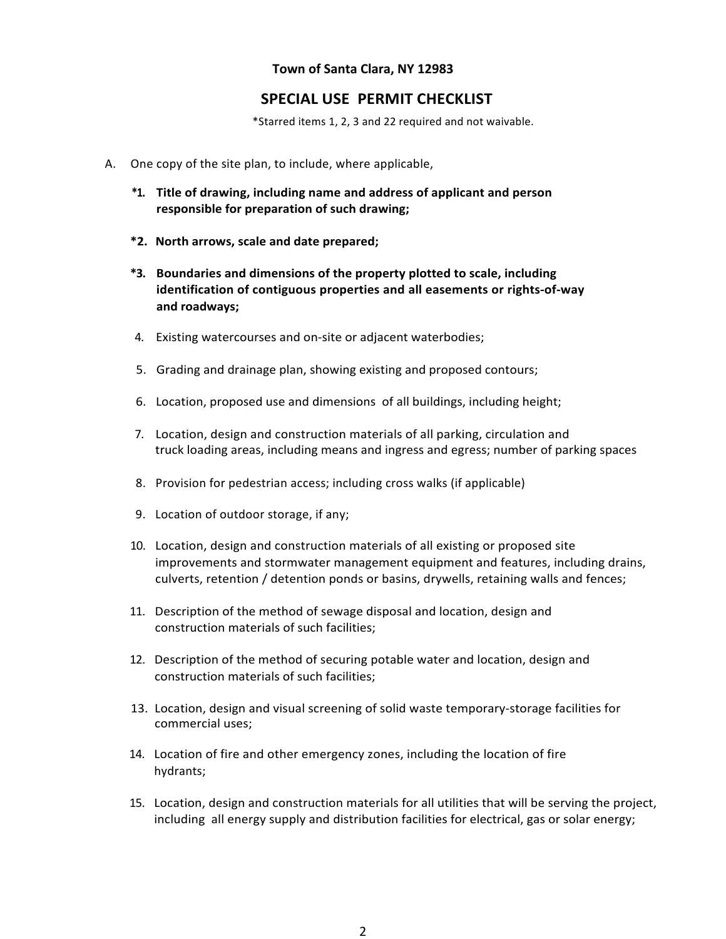#### **Town of Santa Clara, NY 12983**

### **SPECIAL USE PERMIT CHECKLIST**

\*Starred items 1, 2, 3 and 22 required and not waivable.

- A. One copy of the site plan, to include, where applicable,
	- **\*1. Title of drawing, including name and address of applicant and person responsible for preparation of such drawing;**
	- **\*2. North arrows, scale and date prepared;**
	- **\*3. Boundaries and dimensions of the property plotted to scale, including identification of contiguous properties and all easements or rights-of-way and roadways;**
	- 4. Existing watercourses and on-site or adjacent waterbodies;
	- 5. Grading and drainage plan, showing existing and proposed contours;
	- 6. Location, proposed use and dimensions of all buildings, including height;
	- 7. Location, design and construction materials of all parking, circulation and truck loading areas, including means and ingress and egress; number of parking spaces
	- 8. Provision for pedestrian access; including cross walks (if applicable)
	- 9. Location of outdoor storage, if any;
	- 10. Location, design and construction materials of all existing or proposed site improvements and stormwater management equipment and features, including drains, culverts, retention / detention ponds or basins, drywells, retaining walls and fences;
	- 11. Description of the method of sewage disposal and location, design and construction materials of such facilities;
	- 12. Description of the method of securing potable water and location, design and construction materials of such facilities;
	- 13. Location, design and visual screening of solid waste temporary-storage facilities for commercial uses;
	- 14. Location of fire and other emergency zones, including the location of fire hydrants;
	- 15. Location, design and construction materials for all utilities that will be serving the project, including all energy supply and distribution facilities for electrical, gas or solar energy;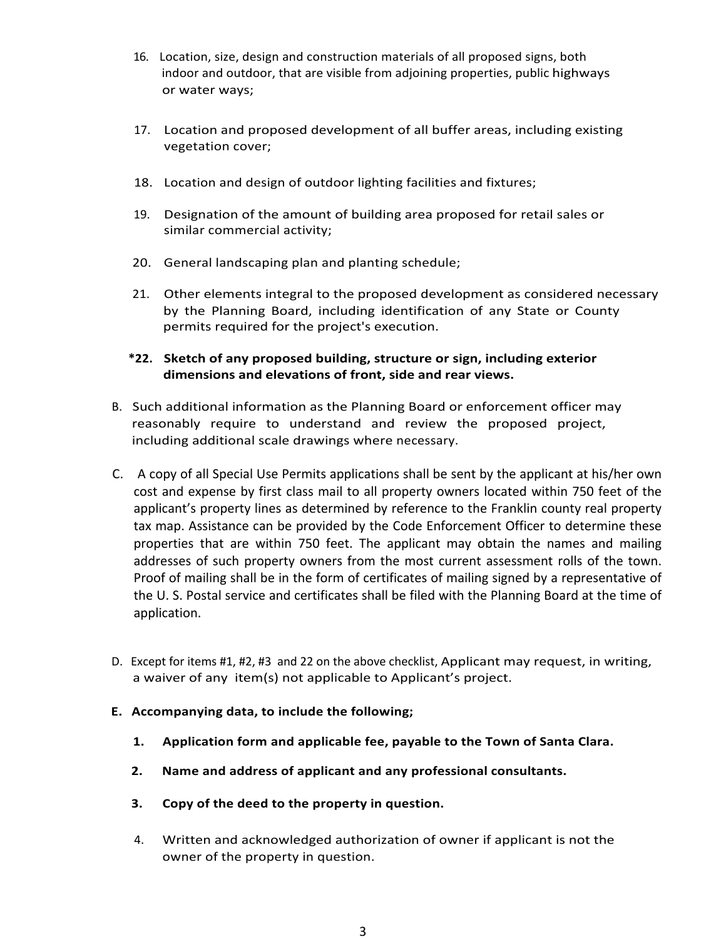- 16. Location, size, design and construction materials of all proposed signs, both indoor and outdoor, that are visible from adjoining properties, public highways or water ways;
- 17. Location and proposed development of all buffer areas, including existing vegetation cover;
- 18. Location and design of outdoor lighting facilities and fixtures;
- 19. Designation of the amount of building area proposed for retail sales or similar commercial activity;
- 20. General landscaping plan and planting schedule;
- 21. Other elements integral to the proposed development as considered necessary by the Planning Board, including identification of any State or County permits required for the project's execution.

### **\*22. Sketch of any proposed building, structure or sign, including exterior dimensions and elevations of front, side and rear views.**

- B. Such additional information as the Planning Board or enforcement officer may reasonably require to understand and review the proposed project, including additional scale drawings where necessary.
- C. A copy of all Special Use Permits applications shall be sent by the applicant at his/her own cost and expense by first class mail to all property owners located within 750 feet of the applicant's property lines as determined by reference to the Franklin county real property tax map. Assistance can be provided by the Code Enforcement Officer to determine these properties that are within 750 feet. The applicant may obtain the names and mailing addresses of such property owners from the most current assessment rolls of the town. Proof of mailing shall be in the form of certificates of mailing signed by a representative of the U. S. Postal service and certificates shall be filed with the Planning Board at the time of application.
- D. Except for items #1, #2, #3 and 22 on the above checklist, Applicant may request, in writing, a waiver of any item(s) not applicable to Applicant's project.
- **E. Accompanying data, to include the following;**
	- **1. Application form and applicable fee, payable to the Town of Santa Clara.**
	- **2. Name and address of applicant and any professional consultants.**
	- **3. Copy of the deed to the property in question.**
	- 4. Written and acknowledged authorization of owner if applicant is not the owner of the property in question.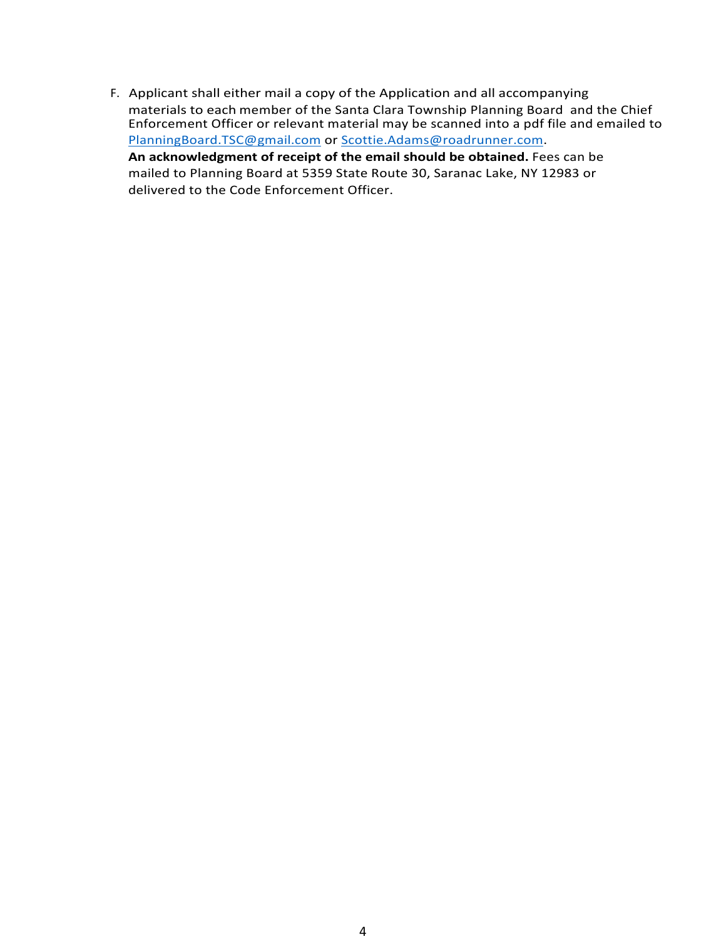F. Applicant shall either mail a copy of the Application and all accompanying materials to each member of the Santa Clara Township Planning Board and the Chief Enforcement Officer or relevant material may be scanned into a pdf file and emailed to PlanningBoard.TSC@gmail.com or Scottie.Adams@roadrunner.com. **An acknowledgment of receipt of the email should be obtained.** Fees can be mailed to Planning Board at 5359 State Route 30, Saranac Lake, NY 12983 or delivered to the Code Enforcement Officer.